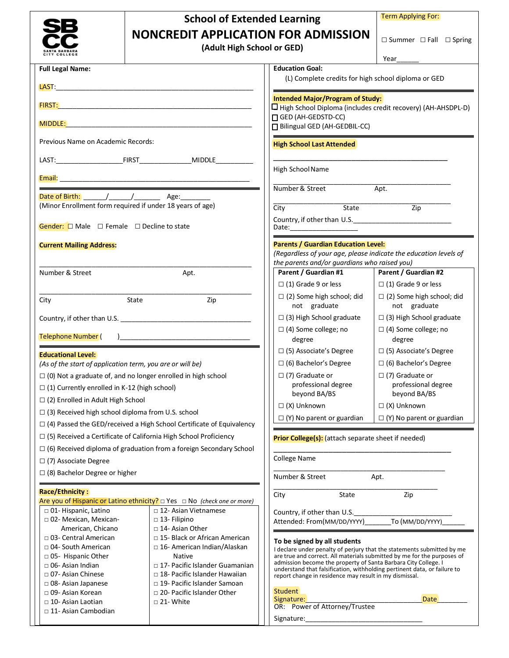|                                                                                                      | <b>School of Extended Learning</b><br><b>NONCREDIT APPLICATION FOR ADMISSION</b>                            |                                                                                                                                                                                                                                | <b>Term Applying For:</b>                                        |  |
|------------------------------------------------------------------------------------------------------|-------------------------------------------------------------------------------------------------------------|--------------------------------------------------------------------------------------------------------------------------------------------------------------------------------------------------------------------------------|------------------------------------------------------------------|--|
|                                                                                                      |                                                                                                             |                                                                                                                                                                                                                                |                                                                  |  |
|                                                                                                      | (Adult High School or GED)                                                                                  |                                                                                                                                                                                                                                | $\square$ Summer $\square$ Fall $\square$ Spring                 |  |
|                                                                                                      |                                                                                                             |                                                                                                                                                                                                                                | Year                                                             |  |
| <b>Full Legal Name:</b>                                                                              |                                                                                                             | <b>Education Goal:</b>                                                                                                                                                                                                         |                                                                  |  |
|                                                                                                      |                                                                                                             | (L) Complete credits for high school diploma or GED                                                                                                                                                                            |                                                                  |  |
|                                                                                                      |                                                                                                             | <b>Intended Major/Program of Study:</b>                                                                                                                                                                                        |                                                                  |  |
|                                                                                                      |                                                                                                             | $\Box$ High School Diploma (includes credit recovery) (AH-AHSDPL-D)                                                                                                                                                            |                                                                  |  |
|                                                                                                      |                                                                                                             | GED (AH-GEDSTD-CC)<br>Bilingual GED (AH-GEDBIL-CC)                                                                                                                                                                             |                                                                  |  |
|                                                                                                      |                                                                                                             |                                                                                                                                                                                                                                |                                                                  |  |
| Previous Name on Academic Records:                                                                   |                                                                                                             | <b>High School Last Attended</b>                                                                                                                                                                                               |                                                                  |  |
|                                                                                                      |                                                                                                             |                                                                                                                                                                                                                                |                                                                  |  |
|                                                                                                      |                                                                                                             | High School Name                                                                                                                                                                                                               |                                                                  |  |
|                                                                                                      |                                                                                                             | Number & Street                                                                                                                                                                                                                | Apt.                                                             |  |
|                                                                                                      | (Minor Enrollment form required if under 18 years of age)                                                   | State<br>City                                                                                                                                                                                                                  | $\overline{Zip}$                                                 |  |
|                                                                                                      |                                                                                                             |                                                                                                                                                                                                                                |                                                                  |  |
| <b>Gender:</b> $\Box$ Male $\Box$ Female $\Box$ Decline to state                                     |                                                                                                             |                                                                                                                                                                                                                                |                                                                  |  |
| <b>Current Mailing Address:</b>                                                                      |                                                                                                             | <b>Parents / Guardian Education Level:</b>                                                                                                                                                                                     |                                                                  |  |
|                                                                                                      |                                                                                                             |                                                                                                                                                                                                                                | (Regardless of your age, please indicate the education levels of |  |
| Number & Street                                                                                      | Apt.                                                                                                        | the parents and/or guardians who raised you)<br>Parent / Guardian #1                                                                                                                                                           | Parent / Guardian #2                                             |  |
|                                                                                                      |                                                                                                             | $\Box$ (1) Grade 9 or less                                                                                                                                                                                                     | $\Box$ (1) Grade 9 or less                                       |  |
|                                                                                                      |                                                                                                             | $\Box$ (2) Some high school; did                                                                                                                                                                                               | $\Box$ (2) Some high school; did                                 |  |
| City<br>State<br>Zip                                                                                 |                                                                                                             | not graduate                                                                                                                                                                                                                   | not graduate                                                     |  |
|                                                                                                      |                                                                                                             | $\Box$ (3) High School graduate                                                                                                                                                                                                | $\Box$ (3) High School graduate                                  |  |
| Telephone Number (<br>$\overline{a}$                                                                 |                                                                                                             | $\Box$ (4) Some college; no<br>degree                                                                                                                                                                                          | $\Box$ (4) Some college; no<br>degree                            |  |
| <b>Educational Level:</b>                                                                            |                                                                                                             | $\Box$ (5) Associate's Degree                                                                                                                                                                                                  | $\Box$ (5) Associate's Degree                                    |  |
| (As of the start of application term, you are or will be)                                            |                                                                                                             | $\Box$ (6) Bachelor's Degree                                                                                                                                                                                                   | $\Box$ (6) Bachelor's Degree                                     |  |
|                                                                                                      | $\Box$ (0) Not a graduate of, and no longer enrolled in high school                                         | $\Box$ (7) Graduate or<br>professional degree                                                                                                                                                                                  | $\Box$ (7) Graduate or<br>professional degree                    |  |
| $\Box$ (1) Currently enrolled in K-12 (high school)                                                  |                                                                                                             | beyond BA/BS                                                                                                                                                                                                                   | beyond BA/BS                                                     |  |
| $\Box$ (2) Enrolled in Adult High School<br>$\Box$ (3) Received high school diploma from U.S. school |                                                                                                             | $\Box$ (X) Unknown                                                                                                                                                                                                             | $\Box$ (X) Unknown                                               |  |
| $\Box$ (4) Passed the GED/received a High School Certificate of Equivalency                          |                                                                                                             | $\Box$ (Y) No parent or guardian                                                                                                                                                                                               | $\Box$ (Y) No parent or guardian                                 |  |
|                                                                                                      | $\Box$ (5) Received a Certificate of California High School Proficiency                                     | Prior College(s): (attach separate sheet if needed)                                                                                                                                                                            |                                                                  |  |
|                                                                                                      | $\Box$ (6) Received diploma of graduation from a foreign Secondary School                                   |                                                                                                                                                                                                                                |                                                                  |  |
| $\Box$ (7) Associate Degree                                                                          |                                                                                                             |                                                                                                                                                                                                                                |                                                                  |  |
| $\Box$ (8) Bachelor Degree or higher                                                                 |                                                                                                             | Number & Street<br>Apt.                                                                                                                                                                                                        |                                                                  |  |
| <b>Race/Ethnicity:</b>                                                                               |                                                                                                             | City<br>State                                                                                                                                                                                                                  | Zip                                                              |  |
| □ 01- Hispanic, Latino                                                                               | Are you of Hispanic or Latino ethnicity? $\Box$ Yes $\Box$ No (check one or more)<br>□ 12- Asian Vietnamese |                                                                                                                                                                                                                                |                                                                  |  |
| □ 02- Mexican, Mexican-                                                                              | $\Box$ 13- Filipino                                                                                         | Country, if other than U.S.<br>Attended: From(MM/DD/YYYY)                                                                                                                                                                      | To (MM/DD/YYYY)                                                  |  |
| American, Chicano                                                                                    | □ 14- Asian Other                                                                                           |                                                                                                                                                                                                                                |                                                                  |  |
| □ 03- Central American<br>□ 04- South American                                                       | □ 15- Black or African American<br>□ 16- American Indian/Alaskan                                            | To be signed by all students<br>I declare under penalty of perjury that the statements submitted by me                                                                                                                         |                                                                  |  |
| □ 05- Hispanic Other                                                                                 | <b>Native</b>                                                                                               | are true and correct. All materials submitted by me for the purposes of                                                                                                                                                        |                                                                  |  |
| □ 06- Asian Indian<br>□ 07- Asian Chinese                                                            | □ 17- Pacific Islander Guamanian<br>$\Box$ 18- Pacific Islander Hawaiian                                    | admission become the property of Santa Barbara City College. I<br>understand that falsification, withholding pertinent data, or failure to                                                                                     |                                                                  |  |
| $\Box$ 08- Asian Japanese                                                                            | □ 19- Pacific Islander Samoan                                                                               | report change in residence may result in my dismissal.                                                                                                                                                                         |                                                                  |  |
| □ 09- Asian Korean                                                                                   | □ 20- Pacific Islander Other                                                                                | Student<br>Signature:                                                                                                                                                                                                          | <b>Date</b>                                                      |  |
| □ 10- Asian Laotian<br>$\Box$ 11- Asian Cambodian                                                    | $\Box$ 21- White                                                                                            | OR: Power of Attorney/Trustee                                                                                                                                                                                                  |                                                                  |  |
|                                                                                                      |                                                                                                             | Signature: and the state of the state of the state of the state of the state of the state of the state of the state of the state of the state of the state of the state of the state of the state of the state of the state of |                                                                  |  |